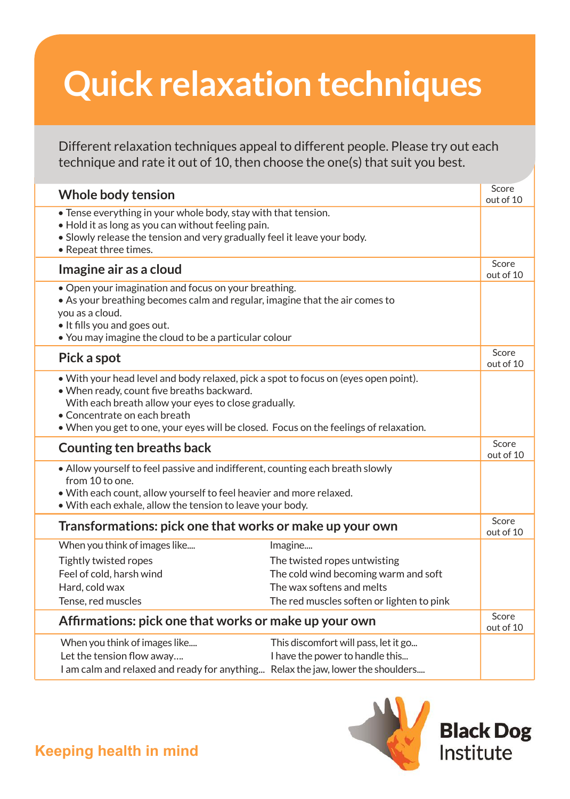## **Quick relaxation techniques**

Different relaxation techniques appeal to different people. Please try out each technique and rate it out of 10, then choose the one(s) that suit you best.

| Whole body tension                                                                                                                                                                                                                                                                                                 |                                                                                                                                                           | Score<br>out of 10 |
|--------------------------------------------------------------------------------------------------------------------------------------------------------------------------------------------------------------------------------------------------------------------------------------------------------------------|-----------------------------------------------------------------------------------------------------------------------------------------------------------|--------------------|
| • Tense everything in your whole body, stay with that tension.<br>. Hold it as long as you can without feeling pain.<br>• Slowly release the tension and very gradually feel it leave your body.<br>• Repeat three times.                                                                                          |                                                                                                                                                           |                    |
| Imagine air as a cloud                                                                                                                                                                                                                                                                                             |                                                                                                                                                           | Score<br>out of 10 |
| • Open your imagination and focus on your breathing.<br>• As your breathing becomes calm and regular, imagine that the air comes to<br>you as a cloud.<br>. It fills you and goes out.<br>• You may imagine the cloud to be a particular colour                                                                    |                                                                                                                                                           |                    |
| Pick a spot                                                                                                                                                                                                                                                                                                        |                                                                                                                                                           | Score<br>out of 10 |
| • With your head level and body relaxed, pick a spot to focus on (eyes open point).<br>. When ready, count five breaths backward.<br>With each breath allow your eyes to close gradually.<br>• Concentrate on each breath<br>• When you get to one, your eyes will be closed. Focus on the feelings of relaxation. |                                                                                                                                                           |                    |
| Counting ten breaths back                                                                                                                                                                                                                                                                                          |                                                                                                                                                           | Score<br>out of 10 |
| • Allow yourself to feel passive and indifferent, counting each breath slowly<br>from 10 to one.<br>. With each count, allow yourself to feel heavier and more relaxed.<br>. With each exhale, allow the tension to leave your body.                                                                               |                                                                                                                                                           |                    |
| Transformations: pick one that works or make up your own                                                                                                                                                                                                                                                           |                                                                                                                                                           | Score<br>out of 10 |
| When you think of images like<br>Tightly twisted ropes<br>Feel of cold, harsh wind<br>Hard, cold wax<br>Tense, red muscles                                                                                                                                                                                         | Imagine<br>The twisted ropes untwisting<br>The cold wind becoming warm and soft<br>The wax softens and melts<br>The red muscles soften or lighten to pink |                    |
| Affirmations: pick one that works or make up your own                                                                                                                                                                                                                                                              |                                                                                                                                                           | Score<br>out of 10 |
| When you think of images like<br>Let the tension flow away<br>I am calm and relaxed and ready for anything Relax the jaw, lower the shoulders                                                                                                                                                                      | This discomfort will pass, let it go<br>I have the power to handle this                                                                                   |                    |



**Keeping health in mind**